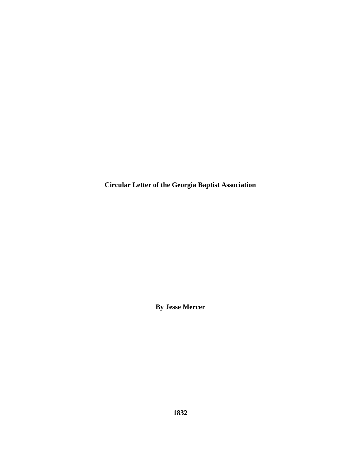**Circular Letter of the Georgia Baptist Association** 

**By Jesse Mercer**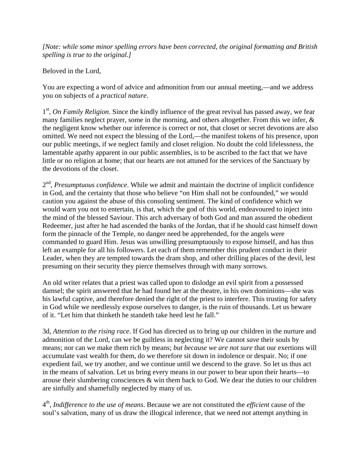*[Note: while some minor spelling errors have been corrected, the original formatting and British spelling is true to the original.]* 

Beloved in the Lord,

You are expecting a word of advice and admonition from our annual meeting,—and we address you on subjects of a *practical nature*.

1<sup>st</sup>, *On Family Religion*. Since the kindly influence of the great revival has passed away, we fear many families neglect prayer, some in the morning, and others altogether. From this we infer, & the negligent know whether our inference is correct or not, that closet or secret devotions are also omitted. We need not expect the blessing of the Lord,—the manifest tokens of his presence, upon our public meetings, if we neglect family and closet religion. No doubt the cold lifelessness, the lamentable apathy apparent in our public assemblies, is to be ascribed to the fact that we have little or no religion at home; that our hearts are not attuned for the services of the Sanctuary by the devotions of the closet.

2<sup>nd</sup>, *Presumptuous confidence*. While we admit and maintain the doctrine of implicit confidence in God, and the certainty that those who believe "on Him shall not be confounded," we would caution you against the abuse of this consoling sentiment. The kind of confidence which we would warn you not to entertain, is that, which the god of this world, endeavoured to inject into the mind of the blessed Saviour. This arch adversary of both God and man assured the obedient Redeemer, just after he had ascended the banks of the Jordan, that if he should cast himself down form the pinnacle of the Temple, no danger need be apprehended, for the angels were commanded to guard Him. Jesus was unwilling presumptuously to expose himself, and has thus left an example for all his followers. Let each of them remember this prudent conduct in their Leader, when they are tempted towards the dram shop, and other drilling places of the devil, lest presuming on their security they pierce themselves through with many sorrows.

An old writer relates that a priest was called upon to dislodge an evil spirit from a possessed damsel; the spirit answered that he had found her at the theatre, in his own dominions—she was his lawful captive, and therefore denied the right of the priest to interfere. This trusting for safety in God while we needlessly expose ourselves to danger, is the ruin of thousands. Let us beware of it. "Let him that thinketh he standeth take heed lest he fall."

3d, *Attention to the rising race*. If God has directed us to bring up our children in the nurture and admonition of the Lord, can we be guiltless in neglecting it? We cannot *save* their souls by means; nor can we make them rich by means; *but because we are not sure* that our exertions will accumulate vast wealth for them, do we therefore sit down in indolence or despair. No; if one expedient fail, we try another, and we continue until we descend to the grave. So let us thus act in the means of salvation. Let us bring every means in our power to bear upon their hearts—to arouse their slumbering consciences & win them back to God. We dear the duties to our children are sinfully and shamefully neglected by many of us.

4th, *Indifference to the use of means*. Because we are not constituted the *efficient* cause of the soul's salvation, many of us draw the illogical inference, that we need not attempt anything in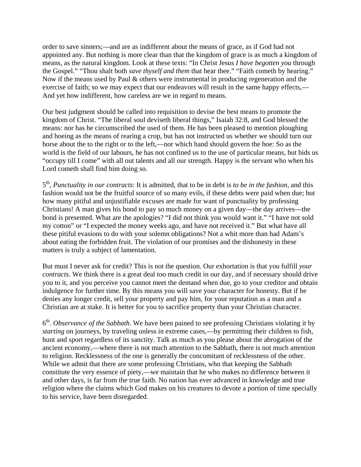order to save sinners;—and are as indifferent about the means of grace, as if God had not appointed any. But nothing is more clear than that the kingdom of grace is as much a kingdom of means, as the natural kingdom. Look at these texts: "In Christ Jesus *I have begotten you* through the Gospel." "Thou shalt both *save thyself and them* that hear thee." "Faith cometh by hearing." Now if the means used by Paul & others were instrumental in producing regeneration and the exercise of faith; so we may expect that our endeavors will result in the same happy effects,— And yet how indifferent, how careless are we in regard to means.

Our best judgment should be called into requisition to devise the best means to promote the kingdom of Christ. "The liberal soul deviseth liberal things," Isaiah 32:8, and God blessed the means: nor has he circumscribed the used of them. He has been pleased to mention ploughing and hoeing as the means of rearing a crop, but has not instructed us whether we should turn our horse about the to the right or to the left,—nor which hand should govern the hoe: So as the world is the field of our labours, he has not confined us to the use of particular means, but bids us "occupy till I come" with all out talents and all our strength. Happy is the servant who when his Lord cometh shall find him doing so.

5th, *Punctuality in our contracts*: It is admitted, that to be in debt is *to be in the fashion*, and this fashion would not be the fruitful source of so many evils, if these debts were paid when due; but how many pitiful and unjustifiable excuses are made for want of punctuality by professing Christians! A man gives his bond to pay so much money on a given day—the day arrives—the bond is presented. What are the apologies? "I did not think you would want it." "I have not sold my cotton" or "I expected the money weeks ago, and have not received it." But what have all these pitiful evasions to do with your solemn obligations? Not a whit more than had Adam's about eating the forbidden fruit. The violation of our promises and the dishonesty in these matters is truly a subject of lamentation.

But must I never ask for credit? This is not the question. Our exhortation is that you fulfill *your contracts*. We think there is a great deal too much credit in our day, and if necessary should drive you to it, and you perceive you cannot meet the demand when due, go to your creditor and obtain indulgence for further time. By this means you will save your character for honesty. But if he denies any longer credit, sell your property and pay him, for your reputation as a man and a Christian are at stake. It is better for you to sacrifice property than your Christian character.

6th. *Observance of the Sabbath*. We have been pained to see professing Christians violating it by *starting* on journeys, by traveling unless in extreme cases,—by permitting their children to fish, hunt and sport regardless of its sanctity. Talk as much as you please about the abrogation of the ancient economy,—where there is not much attention to the Sabbath, there is not much attention to religion. Recklessness of the one is generally the concomitant of recklessness of the other. While we admit that there are some professing Christians, who that keeping the Sabbath constitute the very essence of piety,—we maintain that he who makes no difference between it and other days, is far from the true faith. No nation has ever advanced in knowledge and true religion where the claims which God makes on his creatures to devote a portion of time specially to his service, have been disregarded.